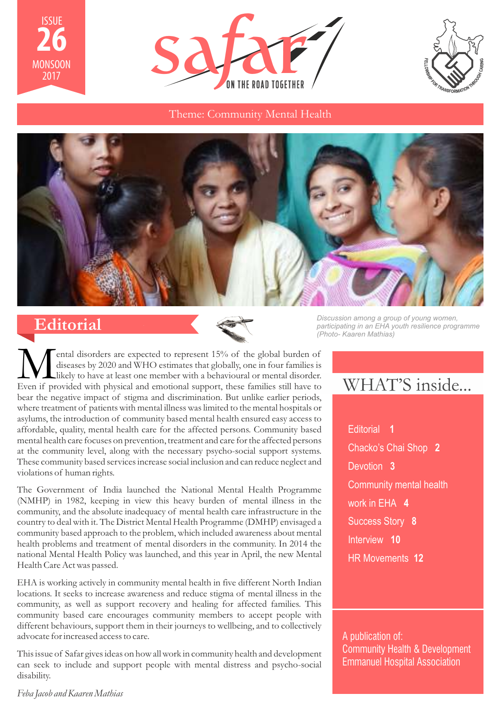





Theme: Community Mental Health



# **Editorial**



**M** ental disorders are expected to represent 15% of the global burden of diseases by 2020 and WHO estimates that globally, one in four families is Even if provided with physical and emotional support, these families still ental disorders are expected to represent 15% of the global burden of diseases by 2020 and WHO estimates that globally, one in four families is likely to have at least one member with a behavioural or mental disorder. bear the negative impact of stigma and discrimination. But unlike earlier periods, where treatment of patients with mental illness was limited to the mental hospitals or asylums, the introduction of community based mental health ensured easy access to affordable, quality, mental health care for the affected persons. Community based mental health care focuses on prevention, treatment and care for the affected persons at the community level, along with the necessary psycho-social support systems. These community based services increase social inclusion and can reduce neglect and violations of human rights.

The Government of India launched the National Mental Health Programme (NMHP) in 1982, keeping in view this heavy burden of mental illness in the community, and the absolute inadequacy of mental health care infrastructure in the country to deal with it. The District Mental Health Programme (DMHP) envisaged a community based approach to the problem, which included awareness about mental health problems and treatment of mental disorders in the community. In 2014 the national Mental Health Policy was launched, and this year in April, the new Mental Health Care Act was passed.

EHA is working actively in community mental health in five different North Indian locations. It seeks to increase awareness and reduce stigma of mental illness in the community, as well as support recovery and healing for affected families. This community based care encourages community members to accept people with different behaviours, support them in their journeys to wellbeing, and to collectively advocate for increased access to care.

This issue of Safar gives ideas on how all work in community health and development can seek to include and support people with mental distress and psycho-social disability.

*Feba Jacob and Kaaren Mathias*

*Discussion among a group of young women, participating in an EHA youth resilience programme (Photo- Kaaren Mathias)*

# WHAT'S inside...

Editorial **1** Chacko's Chai Shop **2** Devotion **3** Community mental health work in EHA **4** Success Story **8** Interview **10** HR Movements **12**

A publication of: Community Health & Development Emmanuel Hospital Association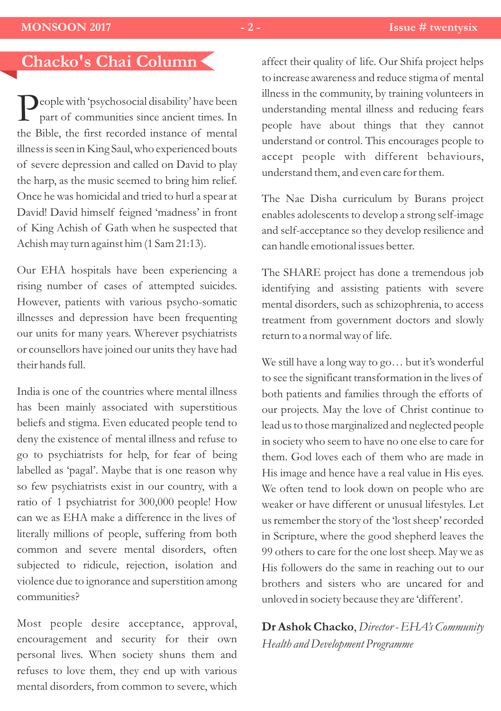# **Chacko's Chai Column**

**P**eople with 'psychosocial disability' have been part of communities since ancient times. In the Bible, the first recorded instance of mental illness is seen in King Saul, who experienced bouts of severe depression and called on David to play the harp, as the music seemed to bring him relief. Once he was homicidal and tried to hurl a spear at David! David himself feigned 'madness' in front of King Achish of Gath when he suspected that Achish may turn against him (1 Sam 21:13).

Our EHA hospitals have been experiencing a rising number of cases of attempted suicides. However, patients with various psycho-somatic illnesses and depression have been frequenting our units for many years. Wherever psychiatrists or counsellors have joined our units they have had their hands full.

India is one of the countries where mental illness has been mainly associated with superstitious beliefs and stigma. Even educated people tend to deny the existence of mental illness and refuse to go to psychiatrists for help, for fear of being labelled as 'pagal'. Maybe that is one reason why so few psychiatrists exist in our country, with a ratio of 1 psychiatrist for 300,000 people! How can we as EHA make a difference in the lives of literally millions of people, suffering from both common and severe mental disorders, often subjected to ridicule, rejection, isolation and violence due to ignorance and superstition among communities?

Most people desire acceptance, approval, encouragement and security for their own personal lives. When society shuns them and refuses to love them, they end up with various mental disorders, from common to severe, which

affect their quality of life. Our Shifa project helps to increase awareness and reduce stigma of mental illness in the community, by training volunteers in understanding mental illness and reducing fears people have about things that they cannot understand or control. This encourages people to accept people with different behaviours, understand them, and even care for them.

The Nae Disha curriculum by Burans project enables adolescents to develop a strong self-image and self-acceptance so they develop resilience and can handle emotional issues better.

The SHARE project has done a tremendous job identifying and assisting patients with severe mental disorders, such as schizophrenia, to access treatment from government doctors and slowly return to a normal way of life.

We still have a long way to go… but it's wonderful to see the significant transformation in the lives of both patients and families through the efforts of our projects. May the love of Christ continue to lead us to those marginalized and neglected people in society who seem to have no one else to care for them. God loves each of them who are made in His image and hence have a real value in His eyes. We often tend to look down on people who are weaker or have different or unusual lifestyles. Let us remember the story of the 'lost sheep' recorded in Scripture, where the good shepherd leaves the 99 others to care for the one lost sheep. May we as His followers do the same in reaching out to our brothers and sisters who are uncared for and unloved in society because they are 'different'.

**Dr Ashok Chacko**, *Director - EHA's Community Health and Development Programme*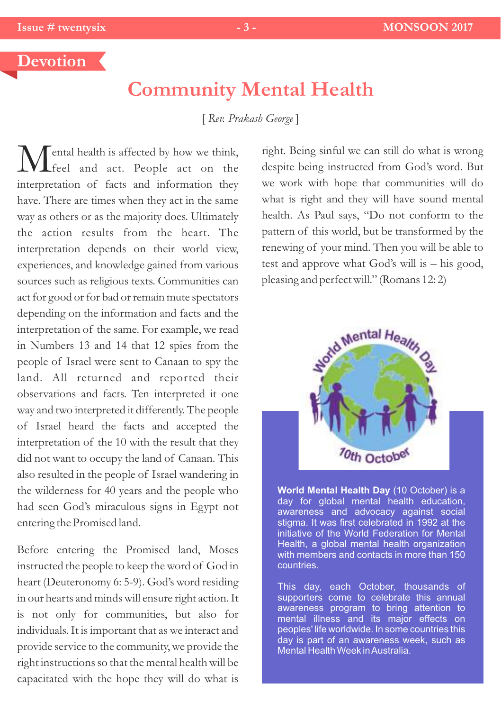## **Devotion**

# **Community Mental Health**

[ *Rev. Prakash George* ]

 $\sqrt{\ }$  ental health is affected by how we think, feel and act. People act on the interpretation of facts and information they have. There are times when they act in the same way as others or as the majority does. Ultimately the action results from the heart. The interpretation depends on their world view, experiences, and knowledge gained from various sources such as religious texts. Communities can act for good or for bad or remain mute spectators depending on the information and facts and the interpretation of the same. For example, we read in Numbers 13 and 14 that 12 spies from the people of Israel were sent to Canaan to spy the land. All returned and reported their observations and facts. Ten interpreted it one way and two interpreted it differently. The people of Israel heard the facts and accepted the interpretation of the 10 with the result that they did not want to occupy the land of Canaan. This also resulted in the people of Israel wandering in the wilderness for 40 years and the people who had seen God's miraculous signs in Egypt not entering the Promised land.

Before entering the Promised land, Moses instructed the people to keep the word of God in heart (Deuteronomy 6: 5-9). God's word residing in our hearts and minds will ensure right action. It is not only for communities, but also for individuals. It is important that as we interact and provide service to the community, we provide the right instructions so that the mental health will be capacitated with the hope they will do what is

right. Being sinful we can still do what is wrong despite being instructed from God's word. But we work with hope that communities will do what is right and they will have sound mental health. As Paul says, "Do not conform to the pattern of this world, but be transformed by the renewing of your mind. Then you will be able to test and approve what God's will is – his good, pleasing and perfect will." (Romans 12: 2)



**World Mental Health Day** (10 October) is a day for global mental health education, awareness and advocacy against social stigma. It was first celebrated in 1992 at the initiative of the World Federation for Mental Health, a global mental health organization with members and contacts in more than 150 countries.

This day, each October, thousands of supporters come to celebrate this annual awareness program to bring attention to mental illness and its major effects on peoples' life worldwide. In some countries this day is part of an awareness week, such as Mental Health Week in Australia.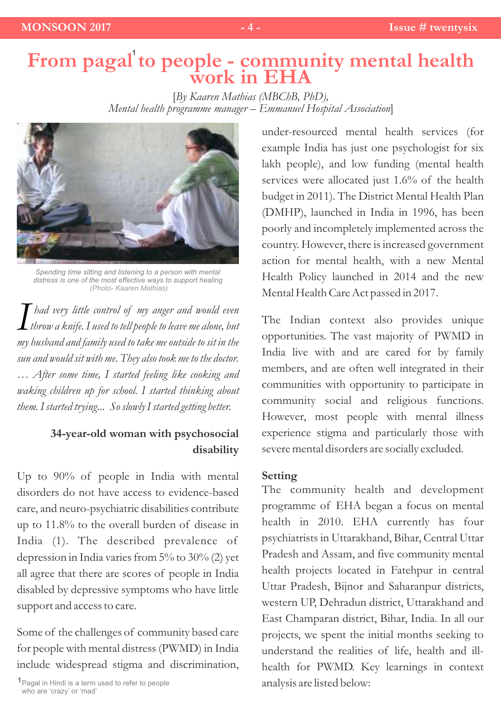### **From pagal to people - community mental health work in EHA** 1

[*By Kaaren Mathias (MBChB, PhD), Mental health programme manager – Emmanuel Hospital Association*]



*Spending time sitting and listening to a person with mental distress is one of the most effective ways to support healing (Photo- Kaaren Mathias)*

 $I$  *had very little control of my anger and would even*<br>*throw a knife.I used to tell people to leave me alone, but*<br>in hards and and family used to take me outside to sit in the *had very little control of my anger and would even my husband and family used to take me outside to sit in the sun and would sit with me. They also took me to the doctor. … After some time, I started feeling like cooking and waking children up for school. I started thinking about them. I started trying... So slowly I started getting better.*

### **34-year-old woman with psychosocial disability**

Up to 90% of people in India with mental disorders do not have access to evidence-based care, and neuro-psychiatric disabilities contribute up to 11.8% to the overall burden of disease in India (1). The described prevalence of depression in India varies from  $5\%$  to  $30\%$  (2) yet all agree that there are scores of people in India disabled by depressive symptoms who have little support and access to care.

Some of the challenges of community based care for people with mental distress (PWMD) in India include widespread stigma and discrimination,

1 Pagal in Hindi is a term used to refer to people who are 'crazy' or 'mad'

under-resourced mental health services (for example India has just one psychologist for six lakh people), and low funding (mental health services were allocated just 1.6% of the health budget in 2011). The District Mental Health Plan (DMHP), launched in India in 1996, has been poorly and incompletely implemented across the country. However, there is increased government action for mental health, with a new Mental Health Policy launched in 2014 and the new Mental Health Care Act passed in 2017.

The Indian context also provides unique opportunities. The vast majority of PWMD in India live with and are cared for by family members, and are often well integrated in their communities with opportunity to participate in community social and religious functions. However, most people with mental illness experience stigma and particularly those with severe mental disorders are socially excluded.

### **Setting**

The community health and development programme of EHA began a focus on mental health in 2010. EHA currently has four psychiatrists in Uttarakhand, Bihar, Central Uttar Pradesh and Assam, and five community mental health projects located in Fatehpur in central Uttar Pradesh, Bijnor and Saharanpur districts, western UP, Dehradun district, Uttarakhand and East Champaran district, Bihar, India. In all our projects, we spent the initial months seeking to understand the realities of life, health and illhealth for PWMD. Key learnings in context analysis are listed below: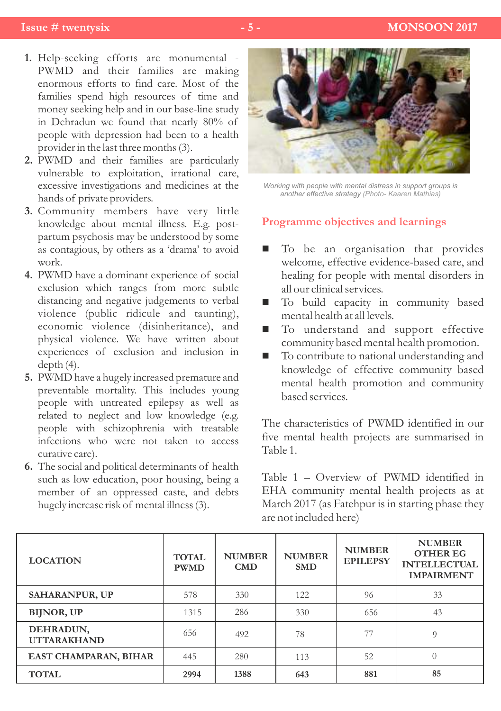- Help-seeking efforts are monumental **1.** PWMD and their families are making enormous efforts to find care. Most of the families spend high resources of time and money seeking help and in our base-line study in Dehradun we found that nearly 80% of people with depression had been to a health provider in the last three months (3).
- PWMD and their families are particularly **2.** vulnerable to exploitation, irrational care, excessive investigations and medicines at the hands of private providers.
- Community members have very little **3.** knowledge about mental illness. E.g. postpartum psychosis may be understood by some as contagious, by others as a 'drama' to avoid work.
- PWMD have a dominant experience of social **4.** exclusion which ranges from more subtle distancing and negative judgements to verbal violence (public ridicule and taunting), economic violence (disinheritance), and physical violence. We have written about experiences of exclusion and inclusion in depth (4).
- PWMD have a hugely increased premature and **5.** preventable mortality. This includes young people with untreated epilepsy as well as related to neglect and low knowledge (e.g. people with schizophrenia with treatable infections who were not taken to access curative care).
- The social and political determinants of health **6.** such as low education, poor housing, being a member of an oppressed caste, and debts hugely increase risk of mental illness (3).



*Working with people with mental distress in support groups is another effective strategy (Photo- Kaaren Mathias)*

### **Programme objectives and learnings**

- To be an organisation that provides welcome, effective evidence-based care, and healing for people with mental disorders in all our clinical services.
- To build capacity in community based mental health at all levels.
- $\blacksquare$  To understand and support effective community based mental health promotion.
- $\blacksquare$  To contribute to national understanding and knowledge of effective community based mental health promotion and community based services.

The characteristics of PWMD identified in our five mental health projects are summarised in Table 1.

Table 1 – Overview of PWMD identified in EHA community mental health projects as at March 2017 (as Fatehpur is in starting phase they are not included here)

| <b>LOCATION</b>                 | <b>TOTAL</b><br><b>PWMD</b> | <b>NUMBER</b><br><b>CMD</b> | <b>NUMBER</b><br><b>SMD</b> | <b>NUMBER</b><br><b>EPILEPSY</b> | <b>NUMBER</b><br><b>OTHER EG</b><br><b>INTELLECTUAL</b><br><b>IMPAIRMENT</b> |
|---------------------------------|-----------------------------|-----------------------------|-----------------------------|----------------------------------|------------------------------------------------------------------------------|
| <b>SAHARANPUR, UP</b>           | 578                         | 330                         | 122                         | 96                               | 33                                                                           |
| <b>BIJNOR, UP</b>               | 1315                        | 286                         | 330                         | 656                              | 43                                                                           |
| DEHRADUN,<br><b>UTTARAKHAND</b> | 656                         | 492                         | 78                          | 77                               | $\Omega$                                                                     |
| <b>EAST CHAMPARAN, BIHAR</b>    | 445                         | 280                         | 113                         | 52                               | $\theta$                                                                     |
| <b>TOTAL</b>                    | 2994                        | 1388                        | 643                         | 881                              | 85                                                                           |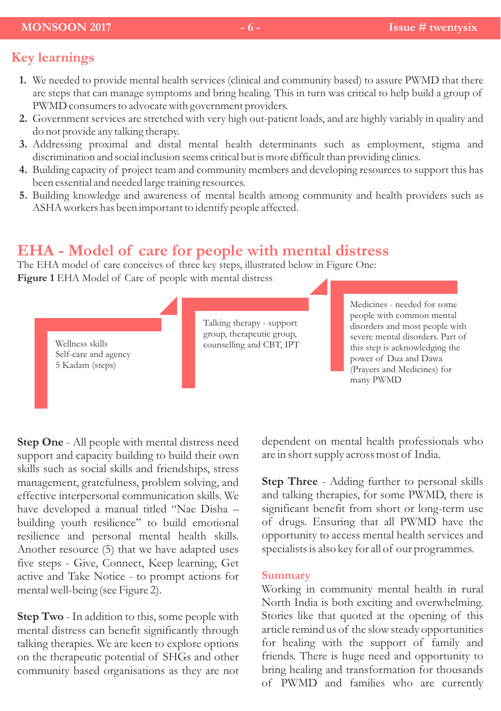### **MONSOON 2017** - 6 - **Issue # twentysix**

# **Key learnings**

- We needed to provide mental health services (clinical and community based) to assure PWMD that there **1.** are steps that can manage symptoms and bring healing. This in turn was critical to help build a group of PWMD consumers to advocate with government providers.
- Government services are stretched with very high out-patient loads, and are highly variably in quality and **2.** do not provide any talking therapy.
- Addressing proximal and distal mental health determinants such as employment, stigma and **3.** discrimination and social inclusion seems critical but is more difficult than providing clinics.
- Building capacity of project team and community members and developing resources to support this has **4.** been essential and needed large training resources.
- Building knowledge and awareness of mental health among community and health providers such as **5.** ASHA workers has been important to identify people affected.

# **EHA - Model of care for people with mental distress**

The EHA model of care conceives of three key steps, illustrated below in Figure One: **Figure 1** EHA Model of Care of people with mental distress

> Wellness skills Self-care and agency 5 Kadam (steps)

Talking therapy - support group, therapeutic group, counselling and CBT, IPT Medicines - needed for some people with common mental disorders and most people with severe mental disorders. Part of this step is acknowledging the power of Dua and Dawa (Prayers and Medicines) for many PWMD

**Step One** - All people with mental distress need support and capacity building to build their own skills such as social skills and friendships, stress management, gratefulness, problem solving, and effective interpersonal communication skills. We have developed a manual titled "Nae Disha – building youth resilience" to build emotional resilience and personal mental health skills. Another resource (5) that we have adapted uses five steps - Give, Connect, Keep learning, Get active and Take Notice - to prompt actions for mental well-being (see Figure 2).

**Step Two** - In addition to this, some people with mental distress can benefit significantly through talking therapies. We are keen to explore options on the therapeutic potential of SHGs and other community based organisations as they are not dependent on mental health professionals who are in short supply across most of India.

**Step Three** - Adding further to personal skills and talking therapies, for some PWMD, there is significant benefit from short or long-term use of drugs. Ensuring that all PWMD have the opportunity to access mental health services and specialists is also key for all of our programmes.

#### **Summary**

Working in community mental health in rural North India is both exciting and overwhelming. Stories like that quoted at the opening of this article remind us of the slow steady opportunities for healing with the support of family and friends. There is huge need and opportunity to bring healing and transformation for thousands of PWMD and families who are currently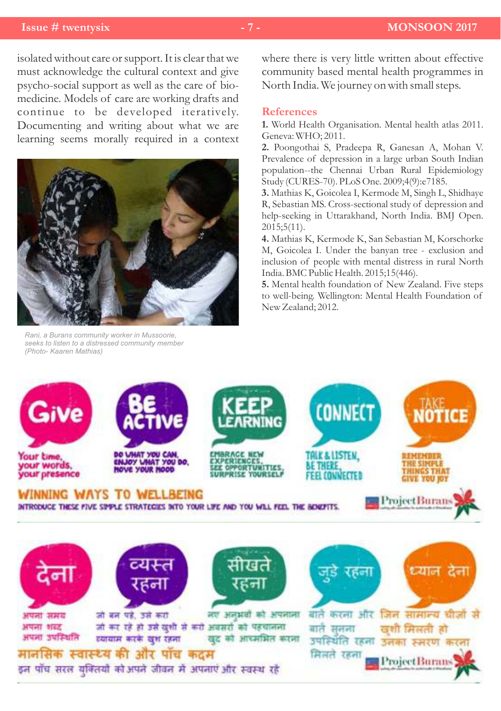### **Issue # twentysix - 7 - MONSOON 2017**

isolated without care or support. It is clear that we must acknowledge the cultural context and give psycho-social support as well as the care of biomedicine. Models of care are working drafts and continue to be developed iteratively. Documenting and writing about what we are learning seems morally required in a context



*Rani, a Burans community worker in Mussoorie, seeks to listen to a distressed community member (Photo- Kaaren Mathias)*

where there is very little written about effective community based mental health programmes in North India. We journey on with small steps.

#### **References**

**1.** World Health Organisation. Mental health atlas 2011. Geneva: WHO; 2011.

**2.** Poongothai S, Pradeepa R, Ganesan A, Mohan V. Prevalence of depression in a large urban South Indian population--the Chennai Urban Rural Epidemiology Study (CURES-70). PLoS One. 2009;4(9):e7185.

**3.** Mathias K, Goicolea I, Kermode M, Singh L, Shidhaye R, Sebastian MS. Cross-sectional study of depression and help-seeking in Uttarakhand, North India. BMJ Open. 2015;5(11).

**4.** Mathias K, Kermode K, San Sebastian M, Korschorke M, Goicolea I. Under the banyan tree - exclusion and inclusion of people with mental distress in rural North India. BMC Public Health. 2015;15(446).

**5.** Mental health foundation of New Zealand. Five steps to well-being. Wellington: Mental Health Foundation of New Zealand; 2012.

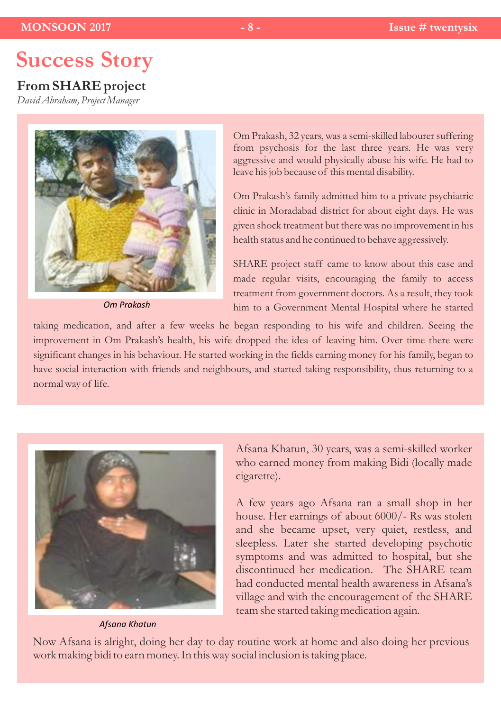# **Success Story**

# **From SHARE project**

*David Abraham, Project Manager*



*Om Prakash*

Om Prakash, 32 years, was a semi-skilled labourer suffering from psychosis for the last three years. He was very aggressive and would physically abuse his wife. He had to leave his job because of this mental disability.

Om Prakash's family admitted him to a private psychiatric clinic in Moradabad district for about eight days. He was given shock treatment but there was no improvement in his health status and he continued to behave aggressively.

SHARE project staff came to know about this case and made regular visits, encouraging the family to access treatment from government doctors. As a result, they took him to a Government Mental Hospital where he started

taking medication, and after a few weeks he began responding to his wife and children. Seeing the improvement in Om Prakash's health, his wife dropped the idea of leaving him. Over time there were significant changes in his behaviour. He started working in the fields earning money for his family, began to have social interaction with friends and neighbours, and started taking responsibility, thus returning to a normal way of life.



*Afsana Khatun*

Afsana Khatun, 30 years, was a semi-skilled worker who earned money from making Bidi (locally made cigarette).

A few years ago Afsana ran a small shop in her house. Her earnings of about 6000/- Rs was stolen and she became upset, very quiet, restless, and sleepless. Later she started developing psychotic symptoms and was admitted to hospital, but she discontinued her medication. The SHARE team had conducted mental health awareness in Afsana's village and with the encouragement of the SHARE team she started taking medication again.

Now Afsana is alright, doing her day to day routine work at home and also doing her previous work making bidi to earn money. In this way social inclusion is taking place.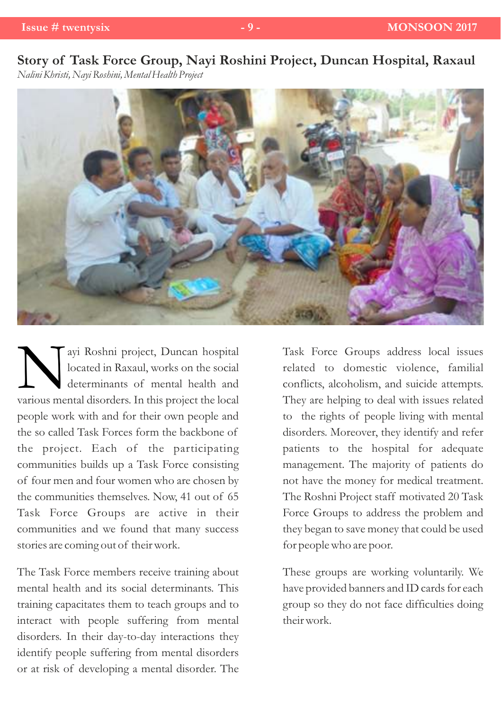# **Story of Task Force Group, Nayi Roshini Project, Duncan Hospital, Raxaul** *Nalini Khristi, Nayi Roshini, Mental Health Project*



A ayi Roshni project, Duncan hospital<br>located in Raxaul, works on the social<br>determinants of mental health and<br>various mental disorders. In this project the local ayi Roshni project, Duncan hospital located in Raxaul, works on the social determinants of mental health and people work with and for their own people and the so called Task Forces form the backbone of the project. Each of the participating communities builds up a Task Force consisting of four men and four women who are chosen by the communities themselves. Now, 41 out of 65 Task Force Groups are active in their communities and we found that many success stories are coming out of their work.

The Task Force members receive training about mental health and its social determinants. This training capacitates them to teach groups and to interact with people suffering from mental disorders. In their day-to-day interactions they identify people suffering from mental disorders or at risk of developing a mental disorder. The

Task Force Groups address local issues related to domestic violence, familial conflicts, alcoholism, and suicide attempts. They are helping to deal with issues related to the rights of people living with mental disorders. Moreover, they identify and refer patients to the hospital for adequate management. The majority of patients do not have the money for medical treatment. The Roshni Project staff motivated 20 Task Force Groups to address the problem and they began to save money that could be used for people who are poor.

These groups are working voluntarily. We have provided banners and ID cards for each group so they do not face difficulties doing their work.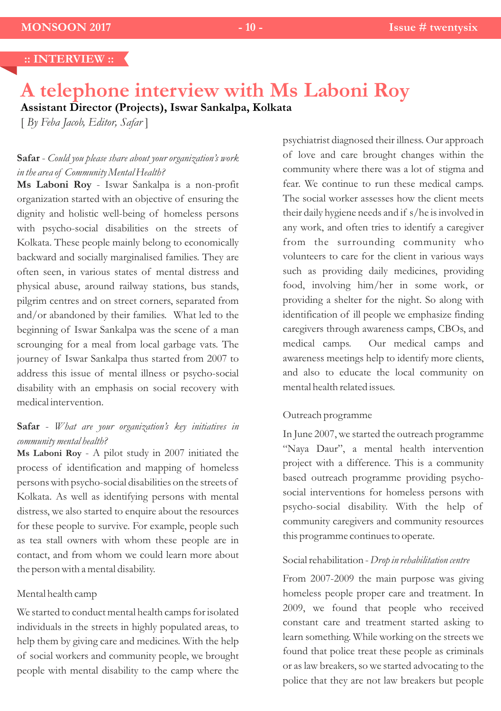# **A telephone interview with Ms Laboni Roy**

**Assistant Director (Projects), Iswar Sankalpa, Kolkata**

[ *By Feba Jacob, Editor, Safar* ]

### **Safar** - *Could you please share about your organization's work in the area of Community Mental Health?*

**Ms Laboni Roy** - Iswar Sankalpa is a non-profit organization started with an objective of ensuring the dignity and holistic well-being of homeless persons with psycho-social disabilities on the streets of Kolkata. These people mainly belong to economically backward and socially marginalised families. They are often seen, in various states of mental distress and physical abuse, around railway stations, bus stands, pilgrim centres and on street corners, separated from and/or abandoned by their families. What led to the beginning of Iswar Sankalpa was the scene of a man scrounging for a meal from local garbage vats. The journey of Iswar Sankalpa thus started from 2007 to address this issue of mental illness or psycho-social disability with an emphasis on social recovery with medical intervention.

### **Safar** - *What are your organization's key initiatives in community mental health?*

**Ms Laboni Roy** - A pilot study in 2007 initiated the process of identification and mapping of homeless persons with psycho-social disabilities on the streets of Kolkata. As well as identifying persons with mental distress, we also started to enquire about the resources for these people to survive. For example, people such as tea stall owners with whom these people are in contact, and from whom we could learn more about the person with a mental disability.

#### Mental health camp

We started to conduct mental health camps for isolated individuals in the streets in highly populated areas, to help them by giving care and medicines. With the help of social workers and community people, we brought people with mental disability to the camp where the psychiatrist diagnosed their illness. Our approach of love and care brought changes within the community where there was a lot of stigma and fear. We continue to run these medical camps. The social worker assesses how the client meets their daily hygiene needs and if s/he is involved in any work, and often tries to identify a caregiver from the surrounding community who volunteers to care for the client in various ways such as providing daily medicines, providing food, involving him/her in some work, or providing a shelter for the night. So along with identification of ill people we emphasize finding caregivers through awareness camps, CBOs, and medical camps. Our medical camps and awareness meetings help to identify more clients, and also to educate the local community on mental health related issues.

#### Outreach programme

In June 2007, we started the outreach programme "Naya Daur", a mental health intervention project with a difference. This is a community based outreach programme providing psychosocial interventions for homeless persons with psycho-social disability. With the help of community caregivers and community resources this programme continues to operate.

### Social rehabilitation - *Drop in rehabilitation centre*

From 2007-2009 the main purpose was giving homeless people proper care and treatment. In 2009, we found that people who received constant care and treatment started asking to learn something. While working on the streets we found that police treat these people as criminals or as law breakers, so we started advocating to the police that they are not law breakers but people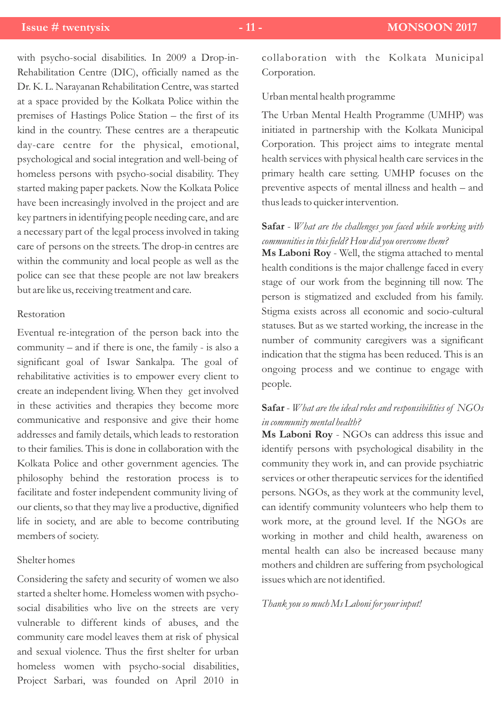with psycho-social disabilities. In 2009 a Drop-in-Rehabilitation Centre (DIC), officially named as the Dr. K. L. Narayanan Rehabilitation Centre, was started at a space provided by the Kolkata Police within the premises of Hastings Police Station – the first of its kind in the country. These centres are a therapeutic day-care centre for the physical, emotional, psychological and social integration and well-being of homeless persons with psycho-social disability. They started making paper packets. Now the Kolkata Police have been increasingly involved in the project and are key partners in identifying people needing care, and are a necessary part of the legal process involved in taking care of persons on the streets. The drop-in centres are within the community and local people as well as the police can see that these people are not law breakers but are like us, receiving treatment and care.

### Restoration

Eventual re-integration of the person back into the community – and if there is one, the family - is also a significant goal of Iswar Sankalpa. The goal of rehabilitative activities is to empower every client to create an independent living. When they get involved in these activities and therapies they become more communicative and responsive and give their home addresses and family details, which leads to restoration to their families. This is done in collaboration with the Kolkata Police and other government agencies. The philosophy behind the restoration process is to facilitate and foster independent community living of our clients, so that they may live a productive, dignified life in society, and are able to become contributing members of society.

### Shelter homes

Considering the safety and security of women we also started a shelter home. Homeless women with psychosocial disabilities who live on the streets are very vulnerable to different kinds of abuses, and the community care model leaves them at risk of physical and sexual violence. Thus the first shelter for urban homeless women with psycho-social disabilities, Project Sarbari, was founded on April 2010 in

collaboration with the Kolkata Municipal Corporation.

Urban mental health programme

The Urban Mental Health Programme (UMHP) was initiated in partnership with the Kolkata Municipal Corporation. This project aims to integrate mental health services with physical health care services in the primary health care setting. UMHP focuses on the preventive aspects of mental illness and health – and thus leads to quicker intervention.

### **Safar** - *What are the challenges you faced while working with communities in this field? How did you overcome them?*

**Ms Laboni Roy** - Well, the stigma attached to mental health conditions is the major challenge faced in every stage of our work from the beginning till now. The person is stigmatized and excluded from his family. Stigma exists across all economic and socio-cultural statuses. But as we started working, the increase in the number of community caregivers was a significant indication that the stigma has been reduced. This is an ongoing process and we continue to engage with people.

### **Safar** - *What are the ideal roles and responsibilities of NGOs in community mental health?*

**Ms Laboni Roy** - NGOs can address this issue and identify persons with psychological disability in the community they work in, and can provide psychiatric services or other therapeutic services for the identified persons. NGOs, as they work at the community level, can identify community volunteers who help them to work more, at the ground level. If the NGOs are working in mother and child health, awareness on mental health can also be increased because many mothers and children are suffering from psychological issues which are not identified.

#### *Thank you so much Ms Laboni for your input!*